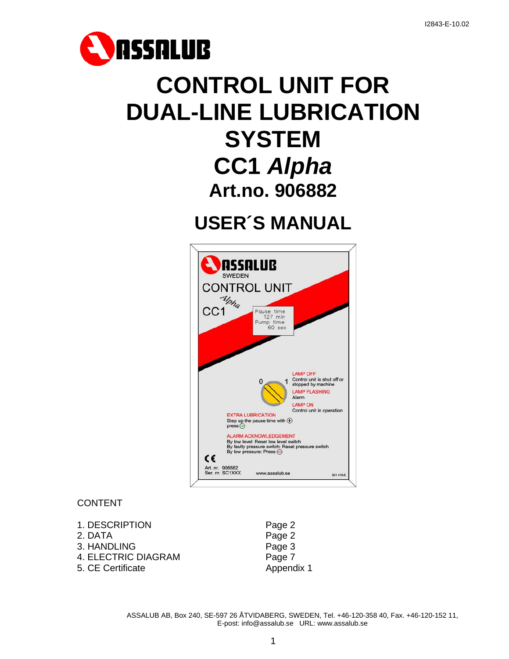

# **CONTROL UNIT FOR DUAL-LINE LUBRICATION SYSTEM CC1** *Alpha* **Art.no. 906882**

**USER´S MANUAL** 



# CONTENT

- 1. DESCRIPTION Page 2
- 2. DATA Page 2
- 3. HANDLING Page 3
- 4. ELECTRIC DIAGRAM Page 7
- 5. CE Certificate **Appendix 1**
-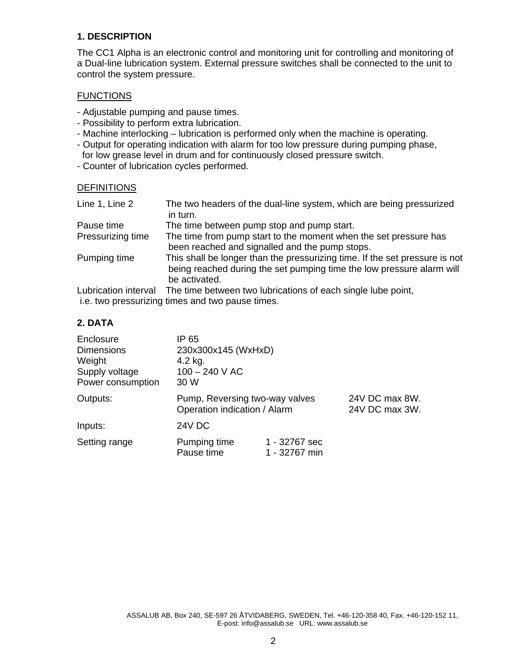### **1. DESCRIPTION**

The CC1 Alpha is an electronic control and monitoring unit for controlling and monitoring of a Dual-line lubrication system. External pressure switches shall be connected to the unit to control the system pressure.

#### **FUNCTIONS**

- Adjustable pumping and pause times.
- Possibility to perform extra lubrication.
- Machine interlocking lubrication is performed only when the machine is operating.
- Output for operating indication with alarm for too low pressure during pumping phase , for low grease level in drum and for continuously closed pressure switch.
- Counter of lubrication cycles performed.

#### DEFINITIONS

| Line 1, Line 2       | The two headers of the dual-line system, which are being pressurized<br>in turn.                                                                     |
|----------------------|------------------------------------------------------------------------------------------------------------------------------------------------------|
|                      |                                                                                                                                                      |
| Pause time           | The time between pump stop and pump start.                                                                                                           |
| Pressurizing time    | The time from pump start to the moment when the set pressure has                                                                                     |
|                      | been reached and signalled and the pump stops.                                                                                                       |
| Pumping time         | This shall be longer than the pressurizing time. If the set pressure is not<br>being reached during the set pumping time the low pressure alarm will |
|                      | be activated.                                                                                                                                        |
| Lubrication interval | The time between two lubrications of each single lube point,                                                                                         |
|                      | i.e. two pressurizing times and two pause times.                                                                                                     |

#### **2. DATA**

| Enclosure<br><b>Dimensions</b><br>Weight<br>Supply voltage<br>Power consumption | IP 65<br>230x300x145 (WxHxD)<br>4.2 kg.<br>$100 - 240$ V AC<br>30 W |                                  |  |
|---------------------------------------------------------------------------------|---------------------------------------------------------------------|----------------------------------|--|
| Outputs:                                                                        | Pump, Reversing two-way valves<br>Operation indication / Alarm      | 24V DC max 8W.<br>24V DC max 3W. |  |
| Inputs:                                                                         | 24V DC                                                              |                                  |  |
| Setting range                                                                   | Pumping time<br>Pause time                                          | 1 - 32767 sec<br>1 - 32767 min   |  |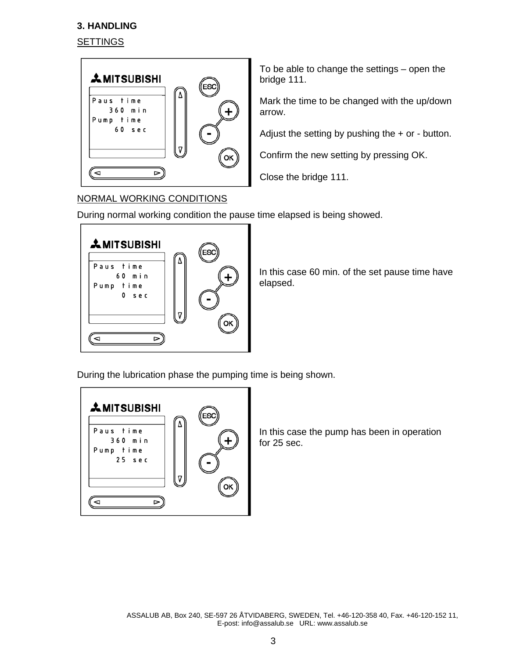# **3. HANDLING**

# **SETTINGS**



To be able to change the settings – open the bridge 111.

Mark the time to be changed with the up/down arrow.

Adjust the setting by pushing the + or - button.

Confirm the new setting by pressing OK.

Close the bridge 111.

# NORMAL WORKING CONDITIONS

During normal working condition the pause time elapsed is being showed.



In this case 60 min. of the set pause time have elapsed.

During the lubrication phase the pumping time is being shown.



In this case the pump has been in operation for 25 sec.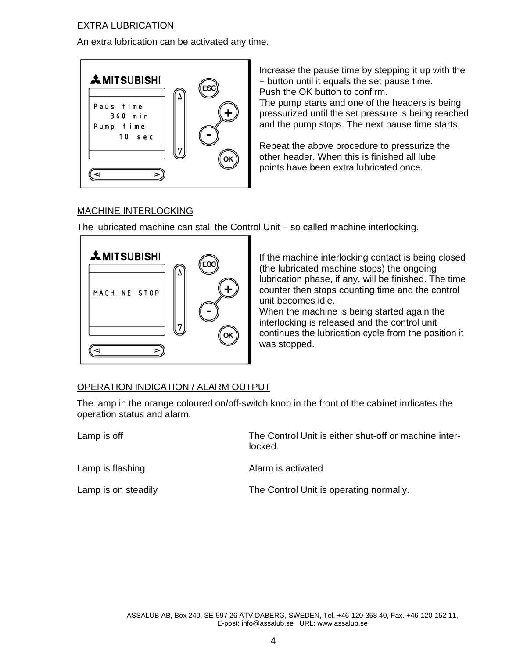## EXTRA LUBRICATION

An extra lubrication can be activated any time.



Increase the pause time by stepping it up with the + button until it equals the set pause time. Push the OK button to confirm.

The pump starts and one of the headers is being pressurized until the set pressure is being reached and the pump stops. The next pause time starts.

Repeat the above procedure to pressurize the other header. When this is finished all lube points have been extra lubricated once.

# MACHINE INTERLOCKING

The lubricated machine can stall the Control Unit – so called machine interlocking.



If the machine interlocking contact is being closed (the lubricated machine stops) the ongoing lubrication phase, if any, will be finished. The time counter then stops counting time and the control unit becomes idle.

When the machine is being started again the interlocking is released and the control unit continues the lubrication cycle from the position it was stopped.

# OPERATION INDICATION / ALARM OUTPUT

The lamp in the orange coloured on/off-switch knob in the front of the cabinet indicates the operation status and alarm.

Lamp is off The Control Unit is either shut-off or machine inter locked. Lamp is flashing and alarm is activated Lamp is on steadily **Example 2** The Control Unit is operating normally.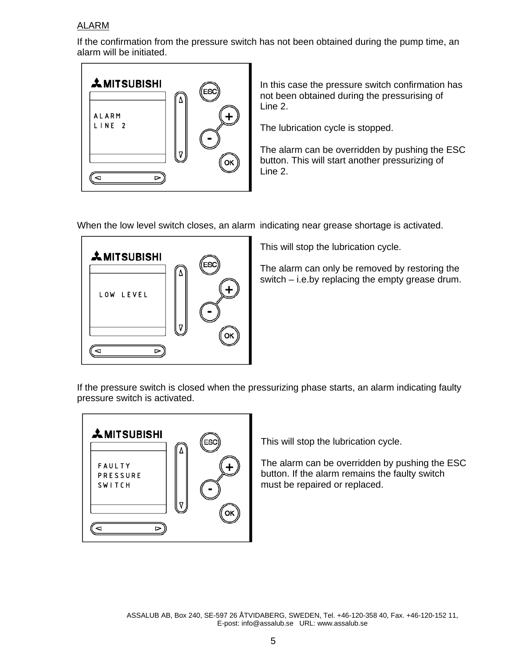#### ALARM

If the confirmation from the pressure switch has not been obtained during the pump time, an alarm will be initiated.



In this case the pressure switch confirmation has not been obtained during the pressurising of Line 2.

The lubrication cycle is stopped.

The alarm can be overridden by pushing the ESC button. This will start another pressurizing of Line 2.

When the low level switch closes, an alarm indicating near grease shortage is activated.



This will stop the lubrication cycle.

The alarm can only be removed by restoring the switch – i.e.by replacing the empty grease drum.

If the pressure switch is closed when the pressurizing phase starts, an alarm indicating faulty pressure switch is activated.



This will stop the lubrication cycle.

The alarm can be overridden by pushing the ESC button. If the alarm remains the faulty switch must be repaired or replaced.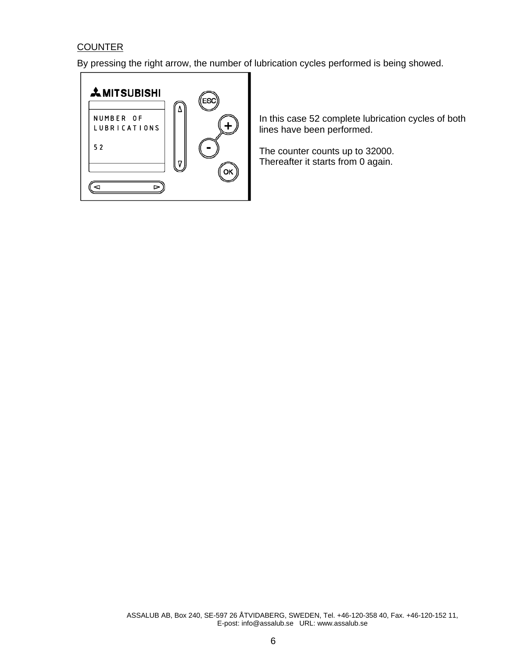# **COUNTER**

By pressing the right arrow, the number of lubrication cycles performed is being showed.



In this case 52 complete lubrication cycles of both lines have been performed.

The counter counts up to 32000. Thereafter it starts from 0 again.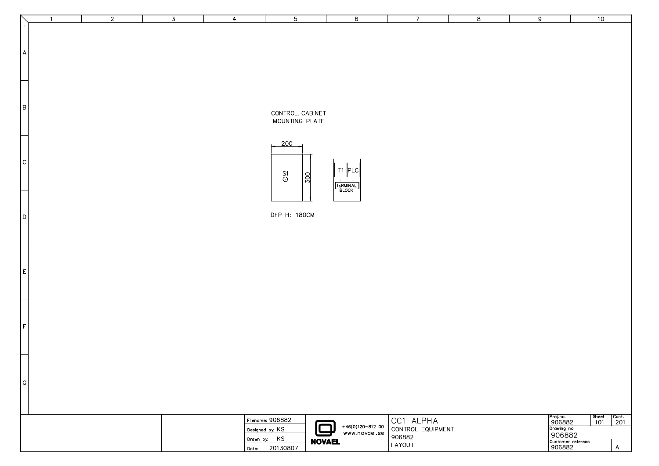|                | $\mathbf{1}$ | $\overline{2}$ | $\overline{3}$ | $\overline{4}$ | $\overline{5}$                                                  | $6\overline{6}$                                                | $\overline{7}$                                     | $\overline{8}$ | 9                                                                         | 10                                                                        |                                                     |
|----------------|--------------|----------------|----------------|----------------|-----------------------------------------------------------------|----------------------------------------------------------------|----------------------------------------------------|----------------|---------------------------------------------------------------------------|---------------------------------------------------------------------------|-----------------------------------------------------|
| $\mathsf{A}$   |              |                |                |                |                                                                 |                                                                |                                                    |                |                                                                           |                                                                           |                                                     |
| B              |              |                |                |                | CONTROL. CABINET<br>MOUNTING PLATE                              |                                                                |                                                    |                |                                                                           |                                                                           |                                                     |
| c              |              |                |                |                | 200<br>$^{\mathsf{S1}}_{\mathsf{O}}$<br>300                     | T1 PLC<br>$\sim$<br>TERMINAL<br>BLOCK                          |                                                    |                |                                                                           |                                                                           |                                                     |
| D              |              |                |                |                | DEPTH: 180CM                                                    |                                                                |                                                    |                |                                                                           |                                                                           |                                                     |
| E              |              |                |                |                |                                                                 |                                                                |                                                    |                |                                                                           |                                                                           |                                                     |
| $\vert$ F      |              |                |                |                |                                                                 |                                                                |                                                    |                |                                                                           |                                                                           |                                                     |
| $ \mathsf{G} $ |              |                |                |                |                                                                 |                                                                |                                                    |                |                                                                           |                                                                           |                                                     |
|                |              |                |                | Date:          | Filename: 906882<br>Designed by: KS<br>Drawn by: KS<br>20130807 | +46(0)120-812 00<br>www.novael.se<br><u>口</u><br><b>NOVAEL</b> | CC1 ALPHA<br>CONTROL EQUIPMENT<br>906882<br>LAYOUT |                | Proj.no.<br>906882<br>Drawing no<br>906882<br>Customer referens<br>906882 | $\begin{array}{ c } \hline \text{Sheet} \hline 101 \\ \hline \end{array}$ | $\sqrt{\frac{\text{Cont.}}{201}}$<br>$\overline{A}$ |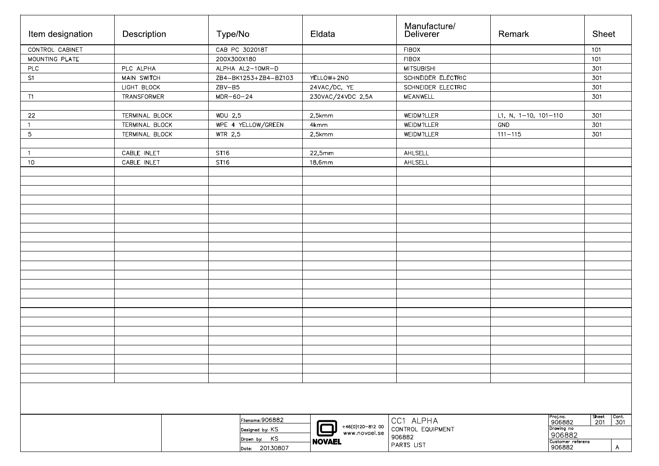| Item designation | Description        | Type/No              | Eldata            | Manufacture/<br>Deliverer | Remark                    |                             | Sheet                                      |
|------------------|--------------------|----------------------|-------------------|---------------------------|---------------------------|-----------------------------|--------------------------------------------|
| CONTROL CABINET  |                    | CAB PC 302018T       |                   | <b>FIBOX</b>              |                           |                             | 101                                        |
| MOUNTING PLATE   |                    | 200X300X180          |                   | <b>FIBOX</b>              |                           |                             | 101                                        |
| PLC              | PLC ALPHA          | ALPHA AL2-10MR-D     |                   | <b>MITSUBISHI</b>         |                           |                             | 301                                        |
| S1               | MAIN SWITCH        | ZB4-BK1253+ZB4-BZ103 | YELLOW+2NO        | SCHNEIDER ELECTRIC        |                           |                             | 301                                        |
|                  | LIGHT BLOCK        | $ZBV-B5$             | 24VAC/DC, YE      | SCHNEIDER ELECTRIC        |                           |                             | 301                                        |
| T1               | <b>TRANSFORMER</b> | $MDR-60-24$          | 230VAC/24VDC 2,5A | MEANWELL                  |                           |                             | 301                                        |
|                  |                    |                      |                   |                           |                           |                             |                                            |
| 22               | TERMINAL BLOCK     | WDU 2,5              | 2,5kmm            | WEIDM?LLER                | L1, N, $1-10$ , $101-110$ |                             | 301                                        |
| $\mathbf{1}$     | TERMINAL BLOCK     | WPE 4 YELLOW/GREEN   | 4kmm              | WEIDM?LLER                | GND                       |                             | 301                                        |
| $\mathbf 5$      | TERMINAL BLOCK     | WTR 2,5              | 2,5kmm            | WEIDM?LLER                | $111 - 115$               |                             | 301                                        |
|                  |                    |                      |                   |                           |                           |                             |                                            |
| $\mathbf{1}$     | CABLE INLET        | <b>ST16</b>          | 22,5mm            | AHLSELL                   |                           |                             |                                            |
| 10               | CABLE INLET        | <b>ST16</b>          | 18,6mm            | AHLSELL                   |                           |                             |                                            |
|                  |                    |                      |                   |                           |                           |                             |                                            |
|                  |                    |                      |                   |                           |                           |                             |                                            |
|                  |                    |                      |                   |                           |                           |                             |                                            |
|                  |                    |                      |                   |                           |                           |                             |                                            |
|                  |                    |                      |                   |                           |                           |                             |                                            |
|                  |                    |                      |                   |                           |                           |                             |                                            |
|                  |                    |                      |                   |                           |                           |                             |                                            |
|                  |                    |                      |                   |                           |                           |                             |                                            |
|                  |                    |                      |                   |                           |                           |                             |                                            |
|                  |                    |                      |                   |                           |                           |                             |                                            |
|                  |                    |                      |                   |                           |                           |                             |                                            |
|                  |                    |                      |                   |                           |                           |                             |                                            |
|                  |                    |                      |                   |                           |                           |                             |                                            |
|                  |                    |                      |                   |                           |                           |                             |                                            |
|                  |                    |                      |                   |                           |                           |                             |                                            |
|                  |                    |                      |                   |                           |                           |                             |                                            |
|                  |                    |                      |                   |                           |                           |                             |                                            |
|                  |                    |                      |                   |                           |                           |                             |                                            |
|                  |                    |                      |                   |                           |                           |                             |                                            |
|                  |                    |                      |                   |                           |                           |                             |                                            |
|                  |                    |                      |                   |                           |                           |                             |                                            |
|                  |                    |                      |                   |                           |                           |                             |                                            |
|                  |                    |                      |                   |                           |                           |                             |                                            |
|                  |                    |                      |                   |                           |                           |                             |                                            |
|                  |                    | Filename: 906882     |                   | CC1 ALPHA                 |                           | Proj.no.<br>906882          | Sheet<br>$\sqrt{\frac{\text{Cont.}}{301}}$ |
|                  |                    | Designed by: KS      | +46(0)120-812 00  | CONTROL EQUIPMENT         | Drawing no                | 201                         |                                            |
|                  |                    | Drawn by: KS         | www.novael.se     | 906882                    |                           | 906882                      |                                            |
|                  |                    | Date: 20130807       | <b>NOVAEL</b>     | PARTS LIST                |                           | Customer referens<br>906882 | $\mathsf{A}$                               |